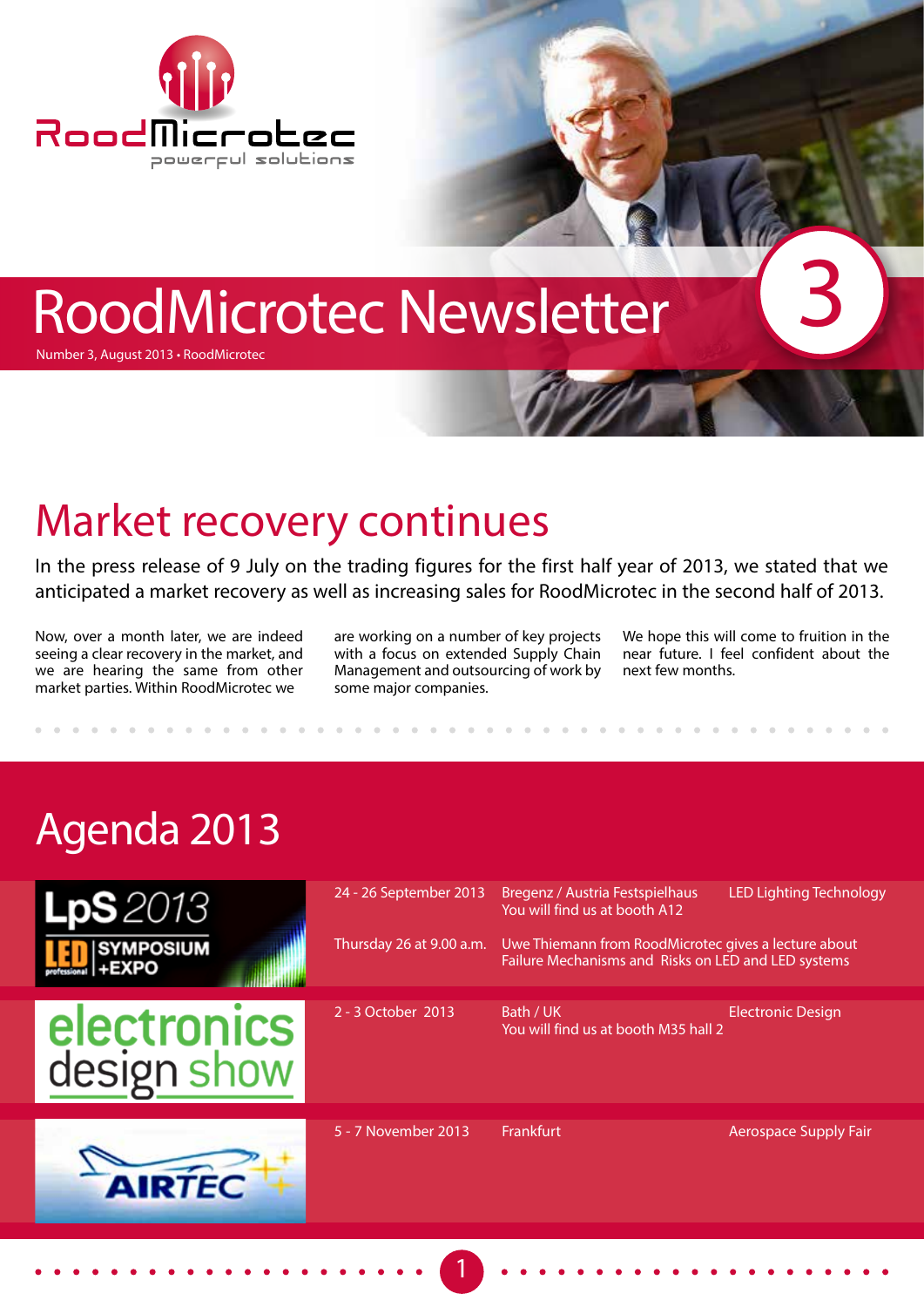

# RoodMicrotec Newsletter

Number 3, August 2013 • RoodMicrotec

## Market recovery continues

In the press release of 9 July on the trading figures for the first half year of 2013, we stated that we anticipated a market recovery as well as increasing sales for RoodMicrotec in the second half of 2013.

Now, over a month later, we are indeed seeing a clear recovery in the market, and we are hearing the same from other market parties. Within RoodMicrotec we

are working on a number of key projects with a focus on extended Supply Chain Management and outsourcing of work by some major companies.

We hope this will come to fruition in the near future. I feel confident about the next few months.

3

# Agenda 2013





| Bregenz / Austria Festspielhaus<br>You will find us at booth A12                                            | <b>LED Lighting Technology</b>       |
|-------------------------------------------------------------------------------------------------------------|--------------------------------------|
| Uwe Thiemann from RoodMicrotec gives a lecture about<br>Failure Mechanisms and Risks on LED and LED systems |                                      |
| Bath / UK                                                                                                   | <b>Electronic Design</b>             |
|                                                                                                             |                                      |
|                                                                                                             |                                      |
|                                                                                                             |                                      |
|                                                                                                             | You will find us at booth M35 hall 2 |

1

5 - 7 November 2013 Frankfurt Aerospace Supply Fair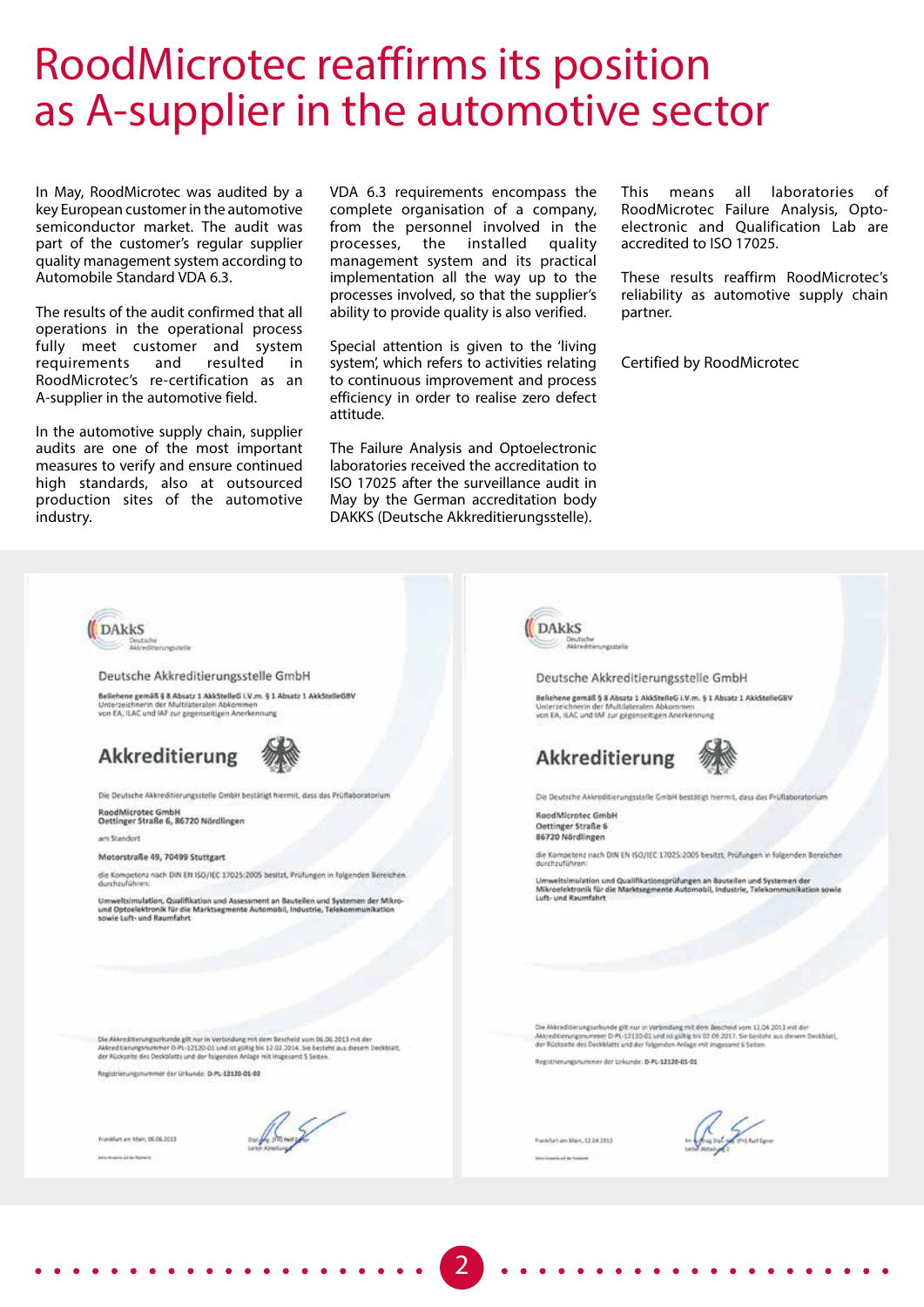#### RoodMicrotec reaffirms its position as A-supplier in the automotive sector

In May, RoodMicrotec was audited by a key European customer in the automotive semiconductor market. The audit was part of the customer's regular supplier quality management system according to Automobile Standard VDA 6.3.

The results of the audit confirmed that all operations in the operational process fully meet customer and system requirements and resulted in RoodMicrotec's re-certification as an A-supplier in the automotive field.

In the automotive supply chain, supplier audits are one of the most important measures to verify and ensure continued high standards, also at outsourced production sites of the automotive industry.

VDA 6.3 requirements encompass the complete organisation of a company, from the personnel involved in the processes, the installed quality management system and its practical implementation all the way up to the processes involved, so that the supplier's ability to provide quality is also verified.

Special attention is given to the 'living system', which refers to activities relating to continuous improvement and process efficiency in order to realise zero defect attitude.

The Failure Analysis and Optoelectronic laboratories received the accreditation to ISO 17025 after the surveillance audit in May by the German accreditation body DAKKS (Deutsche Akkreditierungsstelle).

This means all laboratories of RoodMicrotec Failure Analysis, Optoelectronic and Qualification Lab are accredited to ISO 17025.

These results reaffirm RoodMicrotec's reliability as automotive supply chain partner.

Certified by RoodMicrotec



<sup>2</sup> 2